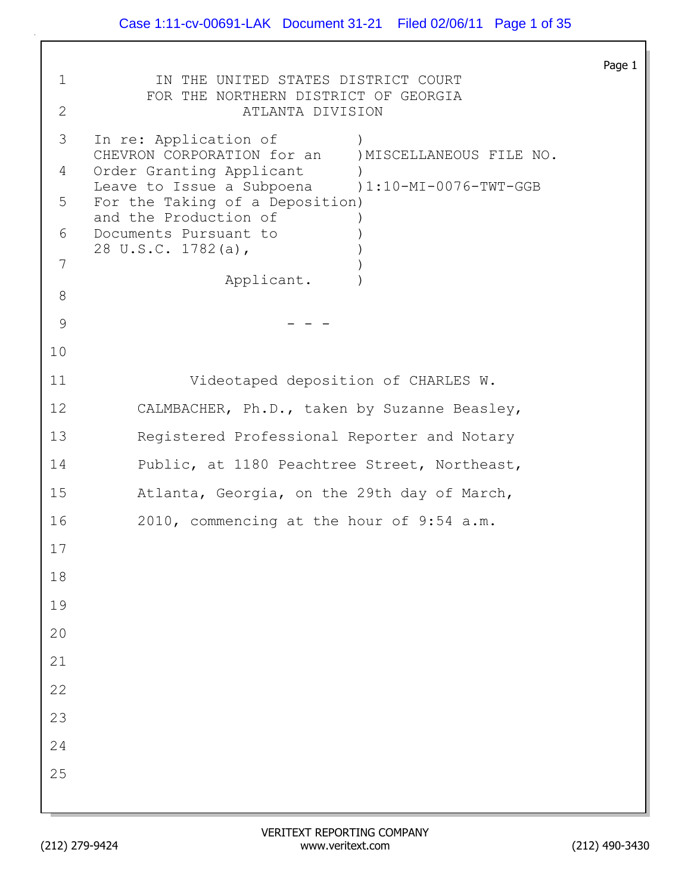|              |                                                                              | Page 1 |
|--------------|------------------------------------------------------------------------------|--------|
| $\mathbf 1$  | IN THE UNITED STATES DISTRICT COURT<br>FOR THE NORTHERN DISTRICT OF GEORGIA  |        |
| $\mathbf{2}$ | ATLANTA DIVISION                                                             |        |
| 3            | In re: Application of<br>CHEVRON CORPORATION for an ) MISCELLANEOUS FILE NO. |        |
| 4            | Order Granting Applicant<br>Leave to Issue a Subpoena (1:10-MI-0076-TWT-GGB  |        |
| 5            | For the Taking of a Deposition)                                              |        |
| 6            | and the Production of<br>Documents Pursuant to                               |        |
| 7            | 28 U.S.C. 1782(a),                                                           |        |
| 8            | Applicant.                                                                   |        |
| 9            |                                                                              |        |
| 10           |                                                                              |        |
| 11           | Videotaped deposition of CHARLES W.                                          |        |
| 12           | CALMBACHER, Ph.D., taken by Suzanne Beasley,                                 |        |
| 13           | Registered Professional Reporter and Notary                                  |        |
| 14           | Public, at 1180 Peachtree Street, Northeast,                                 |        |
| 15           | Atlanta, Georgia, on the 29th day of March,                                  |        |
| 16           | 2010, commencing at the hour of 9:54 a.m.                                    |        |
| 17           |                                                                              |        |
| 18           |                                                                              |        |
| 19           |                                                                              |        |
| 20           |                                                                              |        |
| 21           |                                                                              |        |
| 22           |                                                                              |        |
| 23<br>24     |                                                                              |        |
| 25           |                                                                              |        |
|              |                                                                              |        |
|              |                                                                              |        |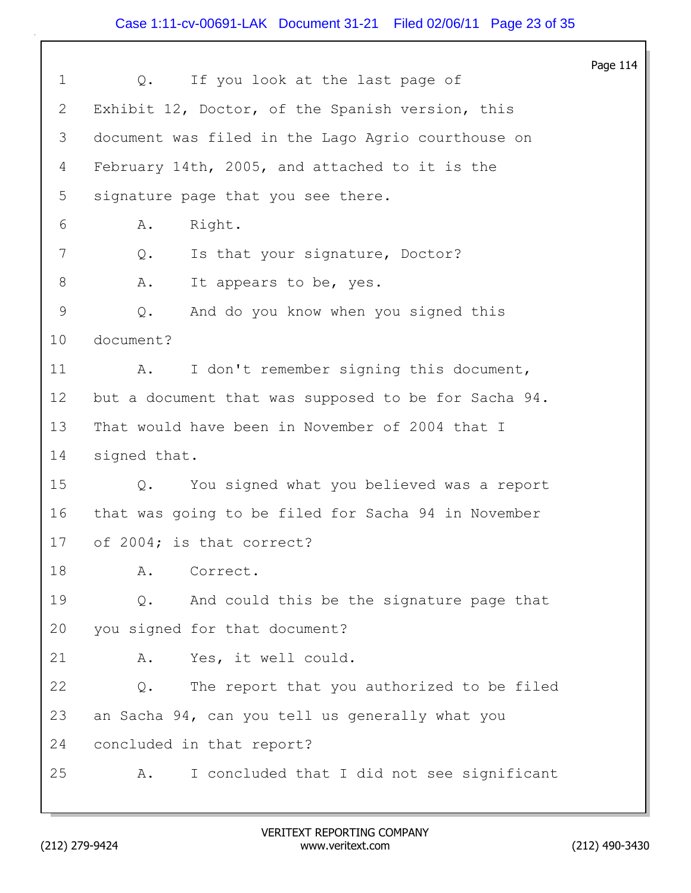## Case 1:11-cv-00691-LAK Document 31-21 Filed 02/06/11 Page 23 of 35

|              |                                                      | Page 114 |
|--------------|------------------------------------------------------|----------|
| $\mathbf{1}$ | If you look at the last page of<br>Q.                |          |
| 2            | Exhibit 12, Doctor, of the Spanish version, this     |          |
| 3            | document was filed in the Lago Agrio courthouse on   |          |
| 4            | February 14th, 2005, and attached to it is the       |          |
| 5            | signature page that you see there.                   |          |
| 6            | Right.<br>Α.                                         |          |
| 7            | Is that your signature, Doctor?<br>Q.                |          |
| 8            | Α.<br>It appears to be, yes.                         |          |
| 9            | And do you know when you signed this<br>Q.           |          |
| 10           | document?                                            |          |
| 11           | I don't remember signing this document,<br>Α.        |          |
| 12           | but a document that was supposed to be for Sacha 94. |          |
| 13           | That would have been in November of 2004 that I      |          |
| 14           | signed that.                                         |          |
| 15           | You signed what you believed was a report<br>Q.      |          |
| 16           | that was going to be filed for Sacha 94 in November  |          |
| 17           | of 2004; is that correct?                            |          |
| 18           | Correct.<br>Α.                                       |          |
| 19           | And could this be the signature page that<br>Q.      |          |
| 20           | you signed for that document?                        |          |
| 21           | Yes, it well could.<br>Α.                            |          |
| 22           | The report that you authorized to be filed<br>Q.     |          |
| 23           | an Sacha 94, can you tell us generally what you      |          |
| 24           | concluded in that report?                            |          |
| 25           | I concluded that I did not see significant<br>Α.     |          |
|              |                                                      |          |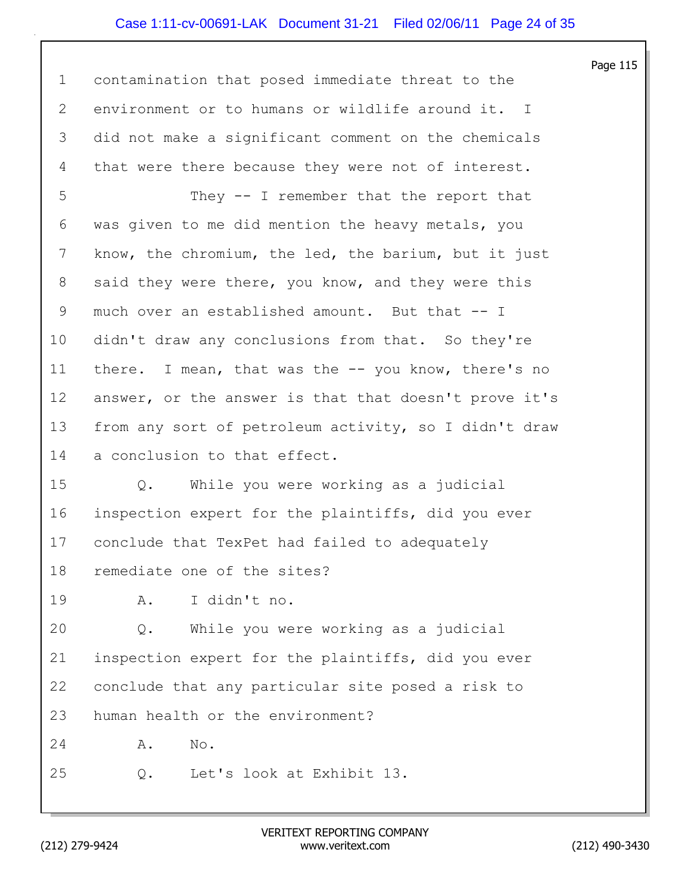## Case 1:11-cv-00691-LAK Document 31-21 Filed 02/06/11 Page 24 of 35

Page 115 1 contamination that posed immediate threat to the 2 environment or to humans or wildlife around it. I 3 did not make a significant comment on the chemicals 4 that were there because they were not of interest. 5 They -- I remember that the report that 6 was given to me did mention the heavy metals, you 7 know, the chromium, the led, the barium, but it just 8 said they were there, you know, and they were this 9 much over an established amount. But that -- I 10 didn't draw any conclusions from that. So they're 11 there. I mean, that was the -- you know, there's no 12 answer, or the answer is that that doesn't prove it's 13 from any sort of petroleum activity, so I didn't draw 14 a conclusion to that effect. 15 Q. While you were working as a judicial 16 inspection expert for the plaintiffs, did you ever 17 conclude that TexPet had failed to adequately 18 remediate one of the sites? 19 A. I didn't no. 20 Q. While you were working as a judicial 21 inspection expert for the plaintiffs, did you ever 22 conclude that any particular site posed a risk to 23 human health or the environment? 24 A. No. 25 Q. Let's look at Exhibit 13.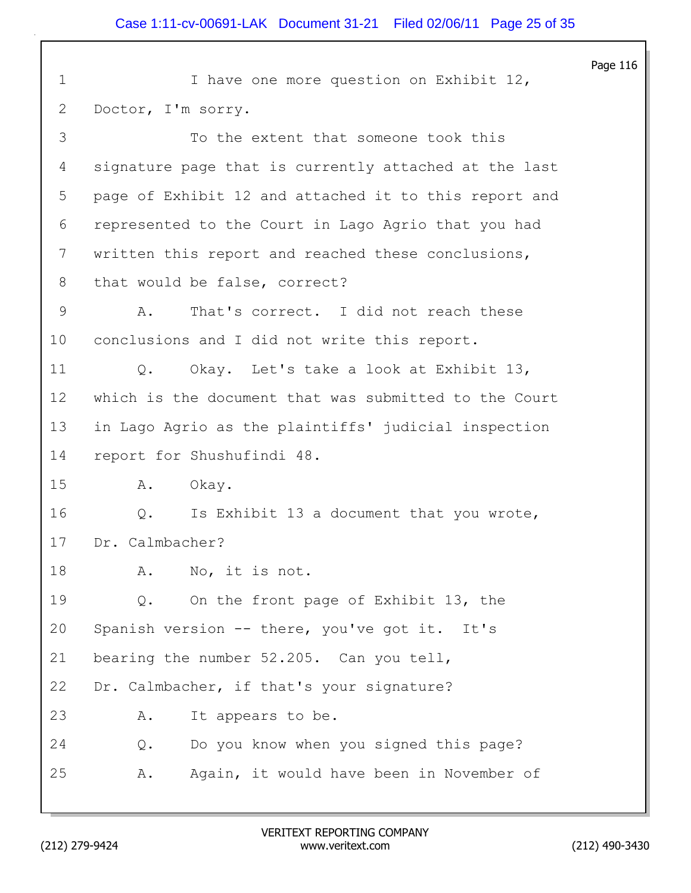|                 |                                                           | Page 116 |
|-----------------|-----------------------------------------------------------|----------|
| $\mathbf 1$     | I have one more question on Exhibit 12,                   |          |
| $\mathbf{2}$    | Doctor, I'm sorry.                                        |          |
| 3               | To the extent that someone took this                      |          |
| 4               | signature page that is currently attached at the last     |          |
| 5               | page of Exhibit 12 and attached it to this report and     |          |
| 6               | represented to the Court in Lago Agrio that you had       |          |
| $7\phantom{.}$  | written this report and reached these conclusions,        |          |
| 8               | that would be false, correct?                             |          |
| 9               | That's correct. I did not reach these<br>Α.               |          |
| 10              | conclusions and I did not write this report.              |          |
| 11              | Okay. Let's take a look at Exhibit 13,<br>Q.              |          |
| 12 <sup>°</sup> | which is the document that was submitted to the Court     |          |
| 13              | in Lago Agrio as the plaintiffs' judicial inspection      |          |
| 14              | report for Shushufindi 48.                                |          |
| 15              | Α.<br>Okay.                                               |          |
| 16              | Is Exhibit 13 a document that you wrote,<br>$Q_{\bullet}$ |          |
| 17              | Dr. Calmbacher?                                           |          |
| 18              | No, it is not.<br>A.                                      |          |
| 19              | On the front page of Exhibit 13, the<br>Q.                |          |
| 20              | Spanish version -- there, you've got it. It's             |          |
| 21              | bearing the number 52.205. Can you tell,                  |          |
| 22              | Dr. Calmbacher, if that's your signature?                 |          |
| 23              | It appears to be.<br>Α.                                   |          |
| 24              | Do you know when you signed this page?<br>Q.              |          |
| 25              | Again, it would have been in November of<br>Α.            |          |
|                 |                                                           |          |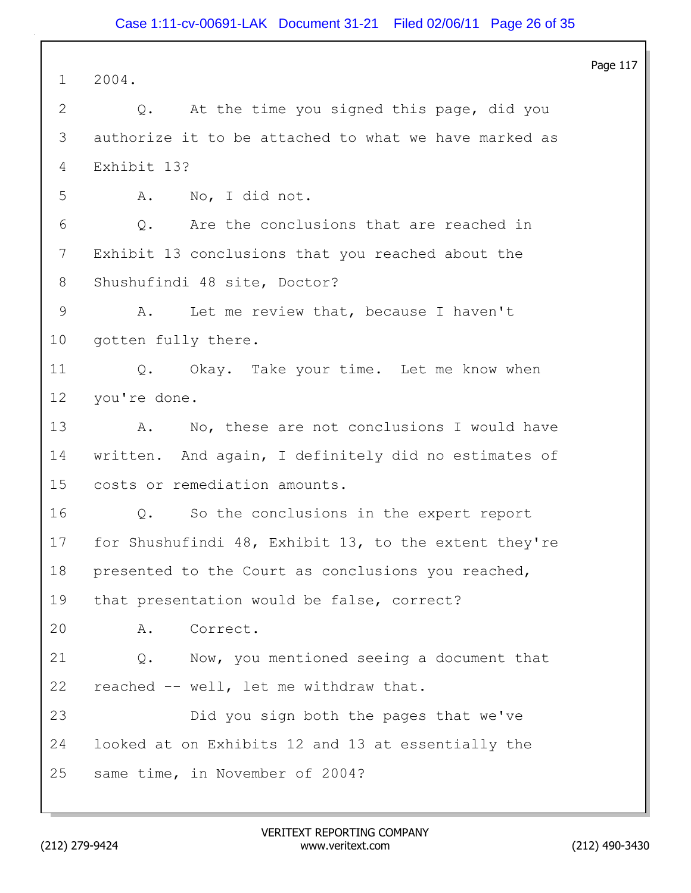Page 117 1 2004. 2 Q. At the time you signed this page, did you 3 authorize it to be attached to what we have marked as 4 Exhibit 13? 5 A. No, I did not. 6 Q. Are the conclusions that are reached in 7 Exhibit 13 conclusions that you reached about the 8 Shushufindi 48 site, Doctor? 9 A. Let me review that, because I haven't 10 gotten fully there. 11 Q. Okay. Take your time. Let me know when 12 you're done. 13 A. No, these are not conclusions I would have 14 written. And again, I definitely did no estimates of 15 costs or remediation amounts. 16 Q. So the conclusions in the expert report 17 for Shushufindi 48, Exhibit 13, to the extent they're 18 presented to the Court as conclusions you reached, 19 that presentation would be false, correct? 20 A. Correct. 21 Q. Now, you mentioned seeing a document that 22 reached -- well, let me withdraw that. 23 Did you sign both the pages that we've 24 looked at on Exhibits 12 and 13 at essentially the 25 same time, in November of 2004?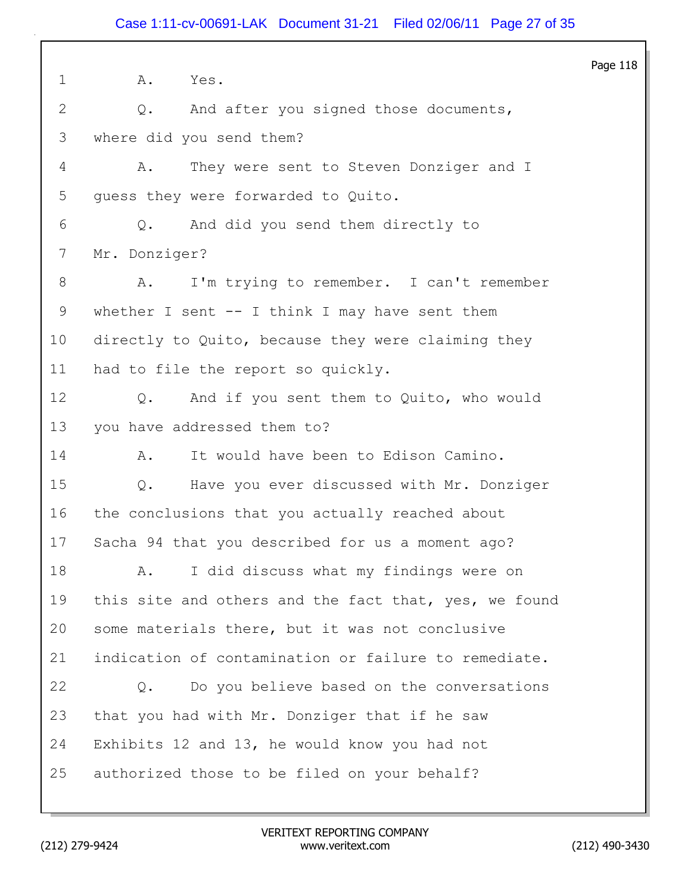Page 118 1 A. Yes. 2 Q. And after you signed those documents, 3 where did you send them? 4 A. They were sent to Steven Donziger and I 5 guess they were forwarded to Quito. 6 Q. And did you send them directly to 7 Mr. Donziger? 8 A. I'm trying to remember. I can't remember 9 whether I sent -- I think I may have sent them 10 directly to Quito, because they were claiming they 11 had to file the report so quickly. 12 Q. And if you sent them to Quito, who would 13 you have addressed them to? 14 A. It would have been to Edison Camino. 15 Q. Have you ever discussed with Mr. Donziger 16 the conclusions that you actually reached about 17 Sacha 94 that you described for us a moment ago? 18 A. I did discuss what my findings were on 19 this site and others and the fact that, yes, we found 20 some materials there, but it was not conclusive 21 indication of contamination or failure to remediate. 22 Q. Do you believe based on the conversations 23 that you had with Mr. Donziger that if he saw 24 Exhibits 12 and 13, he would know you had not 25 authorized those to be filed on your behalf?